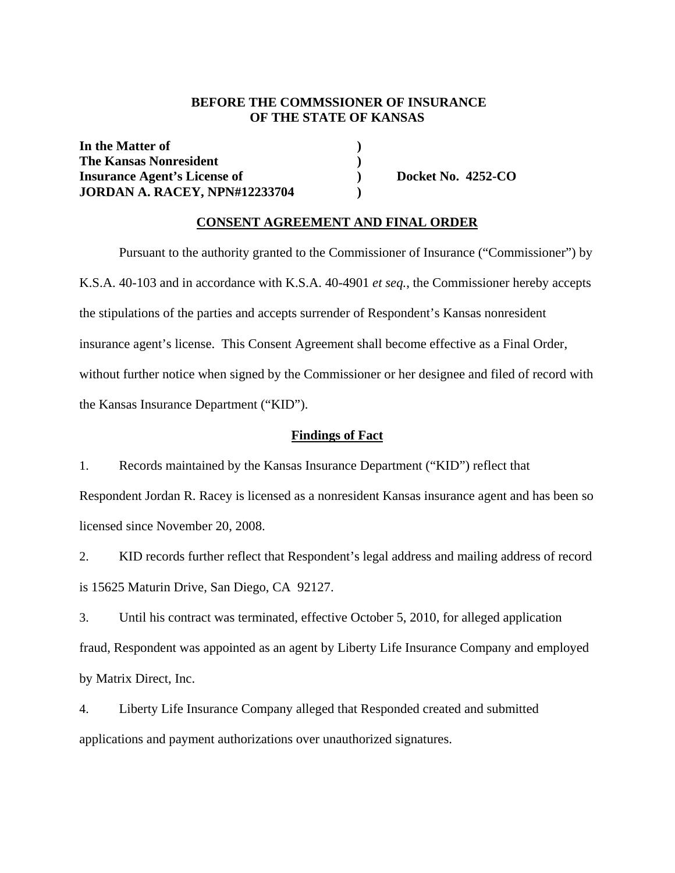### **BEFORE THE COMMSSIONER OF INSURANCE OF THE STATE OF KANSAS**

In the Matter of  $\qquad \qquad$  **) The Kansas Nonresident** (1) **Insurance Agent's License of ) Docket No. 4252-CO JORDAN A. RACEY, NPN#12233704 )** 

#### **CONSENT AGREEMENT AND FINAL ORDER**

Pursuant to the authority granted to the Commissioner of Insurance ("Commissioner") by K.S.A. 40-103 and in accordance with K.S.A. 40-4901 *et seq.*, the Commissioner hereby accepts the stipulations of the parties and accepts surrender of Respondent's Kansas nonresident insurance agent's license. This Consent Agreement shall become effective as a Final Order, without further notice when signed by the Commissioner or her designee and filed of record with the Kansas Insurance Department ("KID").

#### **Findings of Fact**

1. Records maintained by the Kansas Insurance Department ("KID") reflect that

Respondent Jordan R. Racey is licensed as a nonresident Kansas insurance agent and has been so licensed since November 20, 2008.

2. KID records further reflect that Respondent's legal address and mailing address of record is 15625 Maturin Drive, San Diego, CA 92127.

3. Until his contract was terminated, effective October 5, 2010, for alleged application fraud, Respondent was appointed as an agent by Liberty Life Insurance Company and employed by Matrix Direct, Inc.

4. Liberty Life Insurance Company alleged that Responded created and submitted applications and payment authorizations over unauthorized signatures.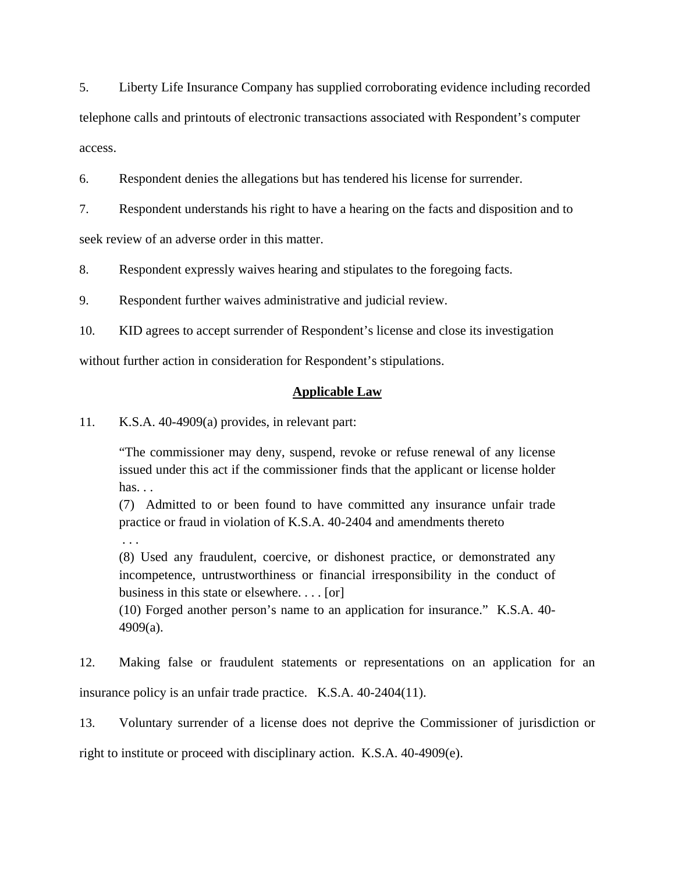5. Liberty Life Insurance Company has supplied corroborating evidence including recorded telephone calls and printouts of electronic transactions associated with Respondent's computer access.

6. Respondent denies the allegations but has tendered his license for surrender.

7. Respondent understands his right to have a hearing on the facts and disposition and to seek review of an adverse order in this matter.

8. Respondent expressly waives hearing and stipulates to the foregoing facts.

9. Respondent further waives administrative and judicial review.

10. KID agrees to accept surrender of Respondent's license and close its investigation

without further action in consideration for Respondent's stipulations.

#### **Applicable Law**

11. K.S.A. 40-4909(a) provides, in relevant part:

"The commissioner may deny, suspend, revoke or refuse renewal of any license issued under this act if the commissioner finds that the applicant or license holder has. . .

(7) Admitted to or been found to have committed any insurance unfair trade practice or fraud in violation of K.S.A. 40-2404 and amendments thereto

. . .

(8) Used any fraudulent, coercive, or dishonest practice, or demonstrated any incompetence, untrustworthiness or financial irresponsibility in the conduct of business in this state or elsewhere. . . . [or]

(10) Forged another person's name to an application for insurance." K.S.A. 40- 4909(a).

12. Making false or fraudulent statements or representations on an application for an insurance policy is an unfair trade practice. K.S.A. 40-2404(11).

13. Voluntary surrender of a license does not deprive the Commissioner of jurisdiction or right to institute or proceed with disciplinary action. K.S.A. 40-4909(e).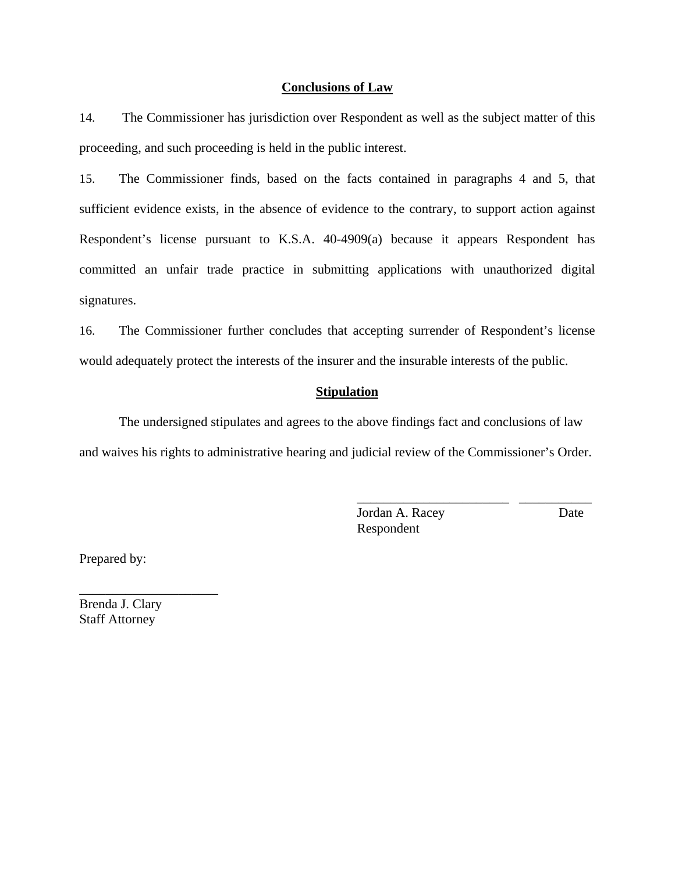#### **Conclusions of Law**

14. The Commissioner has jurisdiction over Respondent as well as the subject matter of this proceeding, and such proceeding is held in the public interest.

15. The Commissioner finds, based on the facts contained in paragraphs 4 and 5, that sufficient evidence exists, in the absence of evidence to the contrary, to support action against Respondent's license pursuant to K.S.A. 40-4909(a) because it appears Respondent has committed an unfair trade practice in submitting applications with unauthorized digital signatures.

16. The Commissioner further concludes that accepting surrender of Respondent's license would adequately protect the interests of the insurer and the insurable interests of the public.

#### **Stipulation**

The undersigned stipulates and agrees to the above findings fact and conclusions of law and waives his rights to administrative hearing and judicial review of the Commissioner's Order.

> Jordan A. Racey Date Respondent

\_\_\_\_\_\_\_\_\_\_\_\_\_\_\_\_\_\_\_\_\_\_\_ \_\_\_\_\_\_\_\_\_\_\_

Prepared by:

Brenda J. Clary Staff Attorney

\_\_\_\_\_\_\_\_\_\_\_\_\_\_\_\_\_\_\_\_\_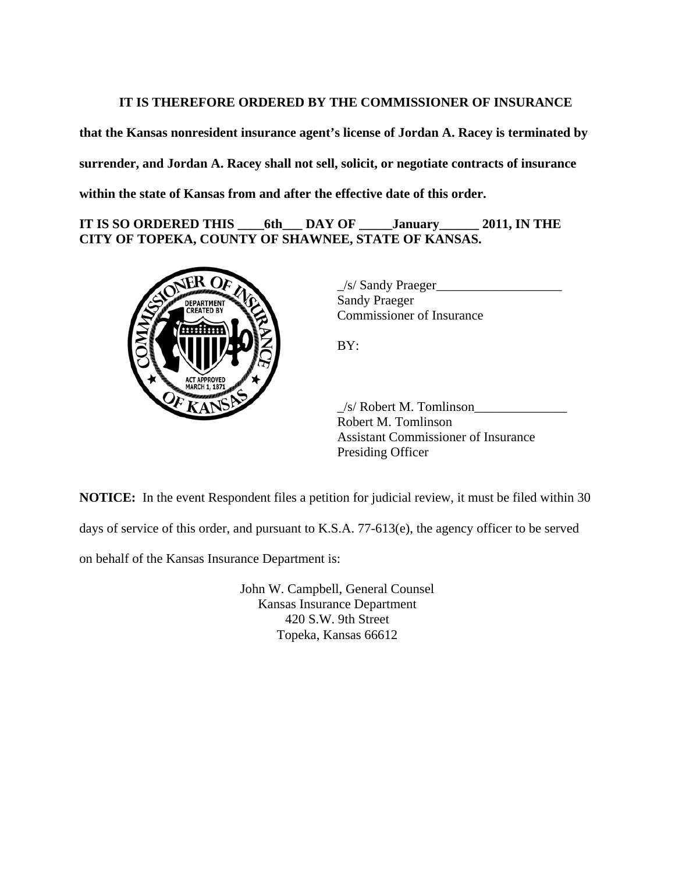## **IT IS THEREFORE ORDERED BY THE COMMISSIONER OF INSURANCE**

**that the Kansas nonresident insurance agent's license of Jordan A. Racey is terminated by surrender, and Jordan A. Racey shall not sell, solicit, or negotiate contracts of insurance within the state of Kansas from and after the effective date of this order.** 

**IT IS SO ORDERED THIS \_\_\_\_6th\_\_\_ DAY OF \_\_\_\_\_January\_\_\_\_\_\_ 2011, IN THE CITY OF TOPEKA, COUNTY OF SHAWNEE, STATE OF KANSAS.** 



\_/s/ Sandy Praeger\_\_\_\_\_\_\_\_\_\_\_\_\_\_\_\_\_\_\_ Sandy Praeger Commissioner of Insurance

BY:

 $\angle$ s/ Robert M. Tomlinson $\angle$ Robert M. Tomlinson Assistant Commissioner of Insurance Presiding Officer

**NOTICE:** In the event Respondent files a petition for judicial review, it must be filed within 30

days of service of this order, and pursuant to K.S.A. 77-613(e), the agency officer to be served

on behalf of the Kansas Insurance Department is:

John W. Campbell, General Counsel Kansas Insurance Department 420 S.W. 9th Street Topeka, Kansas 66612